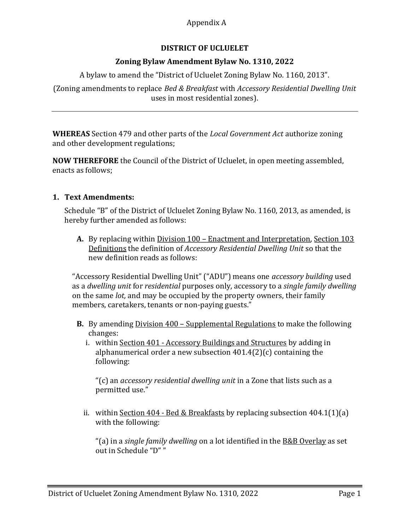## Appendix A

# DISTRICT OF UCLUELET

### Zoning Bylaw Amendment Bylaw No. 1310, 2022

A bylaw to amend the "District of Ucluelet Zoning Bylaw No. 1160, 2013".

(Zoning amendments to replace Bed & Breakfast with Accessory Residential Dwelling Unit uses in most residential zones).

WHEREAS Section 479 and other parts of the *Local Government Act* authorize zoning and other development regulations;

NOW THEREFORE the Council of the District of Ucluelet, in open meeting assembled, enacts as follows;

#### 1. Text Amendments:

Schedule "B" of the District of Ucluelet Zoning Bylaw No. 1160, 2013, as amended, is hereby further amended as follows:

A. By replacing within Division 100 – Enactment and Interpretation, Section 103 Definitions the definition of Accessory Residential Dwelling Unit so that the new definition reads as follows:

"Accessory Residential Dwelling Unit" ("ADU") means one accessory building used as a dwelling unit for residential purposes only, accessory to a single family dwelling on the same lot, and may be occupied by the property owners, their family members, caretakers, tenants or non-paying guests."

- **B.** By amending Division 400 Supplemental Regulations to make the following changes:
	- i. within Section 401 Accessory Buildings and Structures by adding in alphanumerical order a new subsection 401.4(2)(c) containing the following:

"(c) an accessory residential dwelling unit in a Zone that lists such as a permitted use."

ii. within Section  $404$  - Bed & Breakfasts by replacing subsection  $404.1(1)(a)$ with the following:

"(a) in a *single family dwelling* on a lot identified in the B&B Overlay as set out in Schedule "D" "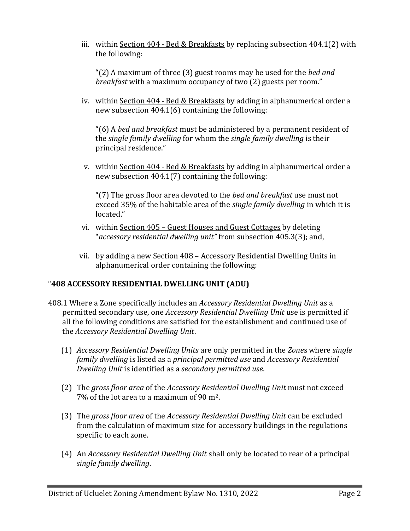iii. within Section  $404$  - Bed & Breakfasts by replacing subsection  $404.1(2)$  with the following:

" $(2)$  A maximum of three  $(3)$  guest rooms may be used for the *bed and* breakfast with a maximum occupancy of two (2) guests per room."

iv. within Section 404 - Bed & Breakfasts by adding in alphanumerical order a new subsection 404.1(6) containing the following:

 $(6)$  A bed and breakfast must be administered by a permanent resident of the single family dwelling for whom the single family dwelling is their principal residence."

v. within Section 404 - Bed & Breakfasts by adding in alphanumerical order a new subsection 404.1(7) containing the following:

"(7) The gross floor area devoted to the bed and breakfast use must not exceed 35% of the habitable area of the *single family dwelling* in which it is located."

- vi. within Section 405 Guest Houses and Guest Cottages by deleting "accessory residential dwelling unit" from subsection 405.3(3); and,
- vii. by adding a new Section 408 Accessory Residential Dwelling Units in alphanumerical order containing the following:

# "408 ACCESSORY RESIDENTIAL DWELLING UNIT (ADU)

- 408.1 Where a Zone specifically includes an Accessory Residential Dwelling Unit as a permitted secondary use, one Accessory Residential Dwelling Unit use is permitted if all the following conditions are satisfied for the establishment and continued use of the Accessory Residential Dwelling Unit.
	- (1) Accessory Residential Dwelling Units are only permitted in the Zones where single family dwelling is listed as a principal permitted use and Accessory Residential Dwelling Unit is identified as a secondary permitted use.
	- (2) The gross floor area of the Accessory Residential Dwelling Unit must not exceed 7% of the lot area to a maximum of 90 m2.
	- (3) The gross floor area of the Accessory Residential Dwelling Unit can be excluded from the calculation of maximum size for accessory buildings in the regulations specific to each zone.
	- (4) An Accessory Residential Dwelling Unit shall only be located to rear of a principal single family dwelling.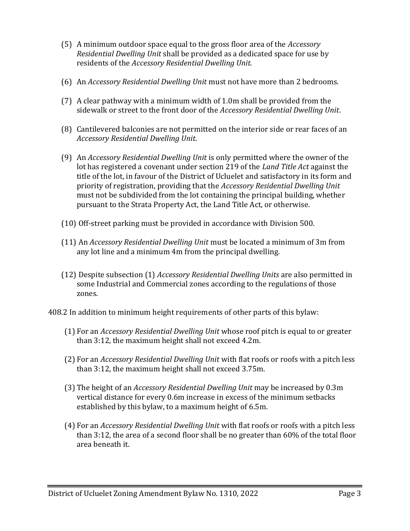- (5) A minimum outdoor space equal to the gross floor area of the Accessory Residential Dwelling Unit shall be provided as a dedicated space for use by residents of the Accessory Residential Dwelling Unit.
- (6) An Accessory Residential Dwelling Unit must not have more than 2 bedrooms.
- (7) A clear pathway with a minimum width of 1.0m shall be provided from the sidewalk or street to the front door of the Accessory Residential Dwelling Unit.
- (8) Cantilevered balconies are not permitted on the interior side or rear faces of an Accessory Residential Dwelling Unit.
- (9) An Accessory Residential Dwelling Unit is only permitted where the owner of the lot has registered a covenant under section 219 of the Land Title Act against the title of the lot, in favour of the District of Ucluelet and satisfactory in its form and priority of registration, providing that the Accessory Residential Dwelling Unit must not be subdivided from the lot containing the principal building, whether pursuant to the Strata Property Act, the Land Title Act, or otherwise.
- (10) Off-street parking must be provided in accordance with Division 500.
- (11) An Accessory Residential Dwelling Unit must be located a minimum of 3m from any lot line and a minimum 4m from the principal dwelling.
- (12) Despite subsection (1) Accessory Residential Dwelling Units are also permitted in some Industrial and Commercial zones according to the regulations of those zones.
- 408.2 In addition to minimum height requirements of other parts of this bylaw:
	- (1) For an Accessory Residential Dwelling Unit whose roof pitch is equal to or greater than 3:12, the maximum height shall not exceed 4.2m.
	- (2) For an Accessory Residential Dwelling Unit with flat roofs or roofs with a pitch less than 3:12, the maximum height shall not exceed 3.75m.
	- (3) The height of an Accessory Residential Dwelling Unit may be increased by 0.3m vertical distance for every 0.6m increase in excess of the minimum setbacks established by this bylaw, to a maximum height of 6.5m.
	- (4) For an Accessory Residential Dwelling Unit with flat roofs or roofs with a pitch less than 3:12, the area of a second floor shall be no greater than 60% of the total floor area beneath it.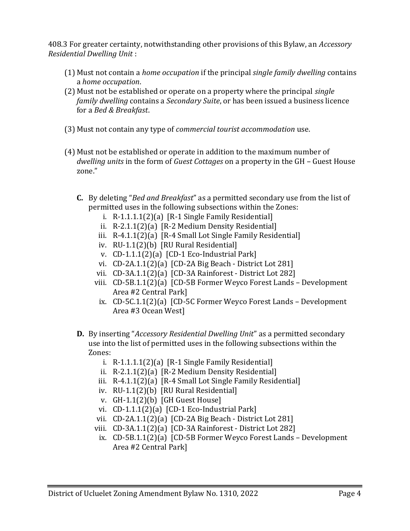408.3 For greater certainty, notwithstanding other provisions of this Bylaw, an Accessory Residential Dwelling Unit :

- $(1)$  Must not contain a *home occupation* if the principal *single family dwelling* contains a home occupation.
- (2) Must not be established or operate on a property where the principal single family dwelling contains a Secondary Suite, or has been issued a business licence for a Bed & Breakfast.
- (3) Must not contain any type of commercial tourist accommodation use.
- (4) Must not be established or operate in addition to the maximum number of dwelling units in the form of Guest Cottages on a property in the GH – Guest House zone."
	- C. By deleting "Bed and Breakfast" as a permitted secondary use from the list of permitted uses in the following subsections within the Zones:
		- i.  $R-1.1.1.1(2)(a)$  [R-1 Single Family Residential]
		- ii. R-2.1.1(2)(a) [R-2 Medium Density Residential]
		- iii. R-4.1.1(2)(a) [R-4 Small Lot Single Family Residential]
		- iv. RU-1.1(2)(b) [RU Rural Residential]
		- v. CD-1.1.1(2)(a) [CD-1 Eco-Industrial Park]
		- vi. CD-2A.1.1(2)(a) [CD-2A Big Beach District Lot 281]
		- vii. CD-3A.1.1(2)(a) [CD-3A Rainforest District Lot 282]
		- viii. CD-5B.1.1(2)(a) [CD-5B Former Weyco Forest Lands Development Area #2 Central Park]
			- ix. CD-5C.1.1(2)(a) [CD-5C Former Weyco Forest Lands Development Area #3 Ocean West]
	- D. By inserting "Accessory Residential Dwelling Unit" as a permitted secondary use into the list of permitted uses in the following subsections within the Zones:
		- i. R-1.1.1.1(2)(a) [R-1 Single Family Residential]
		- ii. R-2.1.1(2)(a) [R-2 Medium Density Residential]
		- iii. R-4.1.1(2)(a) [R-4 Small Lot Single Family Residential]
		- iv. RU-1.1(2)(b) [RU Rural Residential]
		- v. GH-1.1(2)(b) [GH Guest House]
		- vi. CD-1.1.1(2)(a) [CD-1 Eco-Industrial Park]
		- vii. CD-2A.1.1(2)(a) [CD-2A Big Beach District Lot 281]
		- viii. CD-3A.1.1(2)(a) [CD-3A Rainforest District Lot 282]
		- ix. CD-5B.1.1(2)(a) [CD-5B Former Weyco Forest Lands Development Area #2 Central Park]